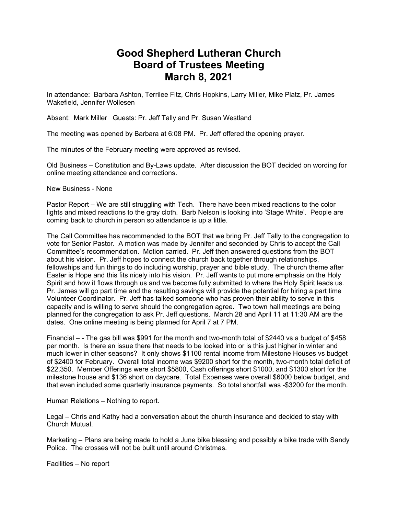## **Good Shepherd Lutheran Church Board of Trustees Meeting March 8, 2021**

In attendance: Barbara Ashton, Terrilee Fitz, Chris Hopkins, Larry Miller, Mike Platz, Pr. James Wakefield, Jennifer Wollesen

Absent: Mark Miller Guests: Pr. Jeff Tally and Pr. Susan Westland

The meeting was opened by Barbara at 6:08 PM. Pr. Jeff offered the opening prayer.

The minutes of the February meeting were approved as revised.

Old Business – Constitution and By-Laws update. After discussion the BOT decided on wording for online meeting attendance and corrections.

New Business - None

Pastor Report – We are still struggling with Tech. There have been mixed reactions to the color lights and mixed reactions to the gray cloth. Barb Nelson is looking into 'Stage White'. People are coming back to church in person so attendance is up a little.

The Call Committee has recommended to the BOT that we bring Pr. Jeff Tally to the congregation to vote for Senior Pastor. A motion was made by Jennifer and seconded by Chris to accept the Call Committee's recommendation. Motion carried. Pr. Jeff then answered questions from the BOT about his vision. Pr. Jeff hopes to connect the church back together through relationships, fellowships and fun things to do including worship, prayer and bible study. The church theme after Easter is Hope and this fits nicely into his vision. Pr. Jeff wants to put more emphasis on the Holy Spirit and how it flows through us and we become fully submitted to where the Holy Spirit leads us. Pr. James will go part time and the resulting savings will provide the potential for hiring a part time Volunteer Coordinator. Pr. Jeff has talked someone who has proven their ability to serve in this capacity and is willing to serve should the congregation agree. Two town hall meetings are being planned for the congregation to ask Pr. Jeff questions. March 28 and April 11 at 11:30 AM are the dates. One online meeting is being planned for April 7 at 7 PM.

Financial – - The gas bill was \$991 for the month and two-month total of \$2440 vs a budget of \$458 per month. Is there an issue there that needs to be looked into or is this just higher in winter and much lower in other seasons? It only shows \$1100 rental income from Milestone Houses vs budget of \$2400 for February. Overall total income was \$9200 short for the month, two-month total deficit of \$22,350. Member Offerings were short \$5800, Cash offerings short \$1000, and \$1300 short for the milestone house and \$136 short on daycare. Total Expenses were overall \$6000 below budget, and that even included some quarterly insurance payments. So total shortfall was -\$3200 for the month.

Human Relations – Nothing to report.

Legal – Chris and Kathy had a conversation about the church insurance and decided to stay with Church Mutual.

Marketing – Plans are being made to hold a June bike blessing and possibly a bike trade with Sandy Police. The crosses will not be built until around Christmas.

Facilities – No report